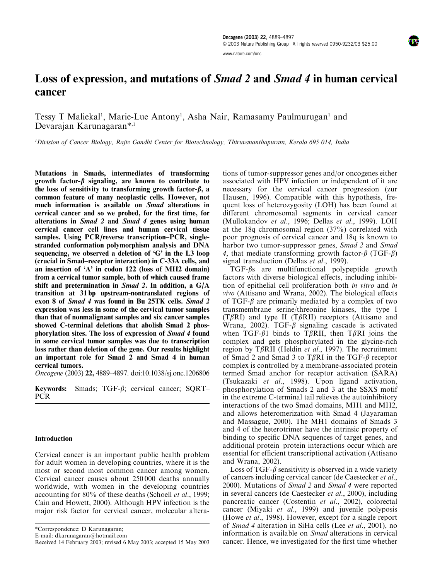www.nature.com/onc

Tessy T Maliekal<sup>1</sup>, Marie-Lue Antony<sup>1</sup>, Asha Nair, Ramasamy Paulmurugan<sup>1</sup> and Devarajan Karunagaran\*,1

<sup>1</sup>Division of Cancer Biology, Rajiv Gandhi Center for Biotechnology, Thiruvananthapuram, Kerala 695 014, India

Mutations in Smads, intermediates of transforming growth factor- $\beta$  signaling, are known to contribute to the loss of sensitivity to transforming growth factor- $\beta$ , a common feature of many neoplastic cells. However, not much information is available on *Smad* alterations in cervical cancer and so we probed, for the first time, for alterations in Smad 2 and Smad 4 genes using human cervical cancer cell lines and human cervical tissue samples. Using PCR/reverse transcription–PCR, singlestranded conformation polymorphism analysis and DNA sequencing, we observed a deletion of 'G' in the L3 loop (crucial in Smad–receptor interaction) in C-33A cells, and an insertion of 'A' in codon 122 (loss of MH2 domain) from a cervical tumor sample, both of which caused frame shift and pretermination in Smad 2. In addition, a G/A transition at 31 bp upstream-nontranslated regions of exon 8 of Smad 4 was found in Bu 25TK cells. Smad 2 expression was less in some of the cervical tumor samples than that of nonmalignant samples and six cancer samples showed C-terminal deletions that abolish Smad 2 phosphorylation sites. The loss of expression of Smad 4 found in some cervical tumor samples was due to transcription loss rather than deletion of the gene. Our results highlight an important role for Smad 2 and Smad 4 in human cervical tumors.

Oncogene (2003) 22, 4889–4897. doi:10.1038/sj.onc.1206806

Keywords: Smads; TGF- $\beta$ ; cervical cancer; SORT-PCR

# **Introduction**

Cervical cancer is an important public health problem for adult women in developing countries, where it is the most or second most common cancer among women. Cervical cancer causes about 250 000 deaths annually worldwide, with women in the developing countries accounting for 80% of these deaths (Schoell et al., 1999; Cain and Howett, 2000). Although HPV infection is the major risk factor for cervical cancer, molecular altera-

\*Correspondence: D Karunagaran;

E-mail: dkarunagaran@hotmail.com

tions of tumor-suppressor genes and/or oncogenes either associated with HPV infection or independent of it are necessary for the cervical cancer progression (zur Hausen, 1996). Compatible with this hypothesis, frequent loss of heterozygosity (LOH) has been found at different chromosomal segments in cervical cancer (Mullokandov et al., 1996; Dellas et al., 1999). LOH at the 18q chromosomal region (37%) correlated with poor prognosis of cervical cancer and 18q is known to harbor two tumor-suppressor genes, Smad 2 and Smad 4, that mediate transforming growth factor- $\beta$  (TGF- $\beta$ ) signal transduction (Dellas *et al.*, 1999).

 $TGF- $\beta$ s are multifunctional polypeptide growth$ factors with diverse biological effects, including inhibition of epithelial cell proliferation both in vitro and in vivo (Attisano and Wrana, 2002). The biological effects of TGF- $\beta$  are primarily mediated by a complex of two transmembrane serine/threonine kinases, the type I  $(T\beta R)$  and type II (T $\beta R$ II) receptors (Attisano and Wrana, 2002). TGF- $\beta$  signaling cascade is activated when TGF- $\beta$ 1 binds to T $\beta$ RII, then T $\beta$ RI joins the complex and gets phosphorylated in the glycine-rich region by T $\beta$ RII (Heldin et al., 1997). The recruitment of Smad 2 and Smad 3 to T $\beta$ RI in the TGF- $\beta$  receptor complex is controlled by a membrane-associated protein termed Smad anchor for receptor activation (SARA) (Tsukazaki et al., 1998). Upon ligand activation, phosphorylation of Smads 2 and 3 at the SSXS motif in the extreme C-terminal tail relieves the autoinhibitory interactions of the two Smad domains, MH1 and MH2, and allows heteromerization with Smad 4 (Jayaraman and Massague, 2000). The MH1 domains of Smads 3 and 4 of the heterotrimer have the intrinsic property of binding to specific DNA sequences of target genes, and additional protein–protein interactions occur which are essential for efficient transcriptional activation (Attisano and Wrana, 2002).

Loss of TGF- $\beta$  sensitivity is observed in a wide variety of cancers including cervical cancer (de Caestecker et al., 2000). Mutations of Smad 2 and Smad 4 were reported in several cancers (de Caestecker et al., 2000), including pancreatic cancer (Costentin et al., 2002), colorectal cancer (Miyaki et al., 1999) and juvenile polyposis (Howe et al., 1998). However, except for a single report of Smad 4 alteration in SiHa cells (Lee et al., 2001), no information is available on Smad alterations in cervical Received 14 February 2003; revised 6 May 2003; accepted 15 May 2003 cancer. Hence, we investigated for the first time whether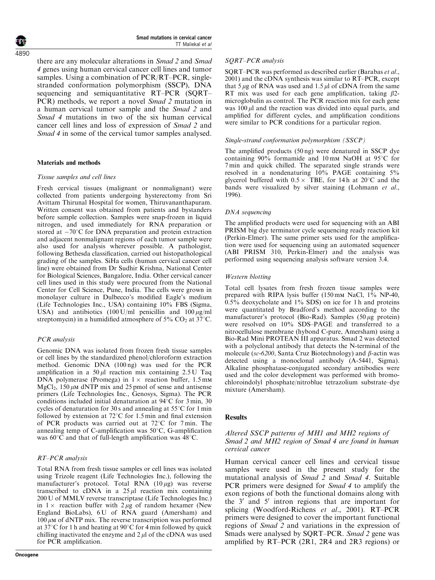there are any molecular alterations in Smad 2 and Smad 4 genes using human cervical cancer cell lines and tumor samples. Using a combination of PCR/RT–PCR, singlestranded conformation polymorphism (SSCP), DNA sequencing and semiquantitative RT–PCR (SQRT– PCR) methods, we report a novel Smad 2 mutation in a human cervical tumor sample and the Smad 2 and Smad 4 mutations in two of the six human cervical cancer cell lines and loss of expression of Smad 2 and Smad 4 in some of the cervical tumor samples analysed.

# Materials and methods

#### Tissue samples and cell lines

Fresh cervical tissues (malignant or nonmalignant) were collected from patients undergoing hysterectomy from Sri Avittam Thirunal Hospital for women, Thiruvananthapuram. Written consent was obtained from patients and bystanders before sample collection. Samples were snap-frozen in liquid nitrogen, and used immediately for RNA preparation or stored at  $-70^{\circ}$ C for DNA preparation and protein extraction and adjacent nonmalignant regions of each tumor sample were also used for analysis wherever possible. A pathologist, following Bethesda classification, carried out histopathological grading of the samples. SiHa cells (human cervical cancer cell line) were obtained from Dr Sudhir Krishna, National Center for Biological Sciences, Bangalore, India. Other cervical cancer cell lines used in this study were procured from the National Center for Cell Science, Pune, India. The cells were grown in monolayer culture in Dulbecco's modified Eagle's medium (Life Technologies Inc., USA) containing 10% FBS (Sigma, USA) and antibiotics  $(100 \text{ U/ml}$  penicillin and  $100 \mu\text{g/ml}$ streptomycin) in a humidified atmosphere of 5%  $CO<sub>2</sub>$  at 37°C.

# PCR analysis

Genomic DNA was isolated from frozen fresh tissue samples or cell lines by the standardized phenol/chloroform extraction method. Genomic DNA (100 ng) was used for the PCR amplification in a  $50 \mu l$  reaction mix containing 2.5 U Taq DNA polymerase (Promega) in  $1 \times$  reaction buffer, 1.5 mm  $MgCl<sub>2</sub>$ , 150  $\mu$ M dNTP mix and 25 pmol of sense and antisense primers (Life Technologies Inc., Genosys, Sigma). The PCR conditions included initial denaturation at  $94^{\circ}$ C for 3 min, 30 cycles of denaturation for 30 s and annealing at  $55^{\circ}$ C for 1 min followed by extension at  $72^{\circ}$ C for 1.5 min and final extension of PCR products was carried out at  $72^{\circ}$ C for 7 min. The annealing temp of C-amplification was  $50^{\circ}$ C, G-amplification was  $60^{\circ}$ C and that of full-length amplification was  $48^{\circ}$ C.

# RT–PCR analysis

Total RNA from fresh tissue samples or cell lines was isolated using Trizole reagent (Life Technologies Inc.), following the manufacturer's protocol. Total RNA  $(10 \mu g)$  was reverse transcribed to cDNA in a  $25 \mu l$  reaction mix containing 200 U of MMLV reverse transcriptase (Life Technologies Inc.) in  $1 \times$  reaction buffer with  $2 \mu g$  of random hexamer (New England BioLabs), 6 U of RNA guard (Amersham) and  $100 \mu$ M of dNTP mix. The reverse transcription was performed at 37 $\degree$ C for 1 h and heating at 90 $\degree$ C for 4 min followed by quick chilling inactivated the enzyme and  $2 \mu$  of the cDNA was used for PCR amplification.

#### SQRT–PCR analysis

SQRT–PCR was performed as described earlier (Barabas et al., 2001) and the cDNA synthesis was similar to RT–PCR, except that 5  $\mu$ g of RNA was used and 1.5  $\mu$ l of cDNA from the same RT mix was used for each gene amplification, taking  $\beta$ 2microglobulin as control. The PCR reaction mix for each gene was  $100 \mu l$  and the reaction was divided into equal parts, and amplified for different cycles, and amplification conditions were similar to PCR conditions for a particular region.

#### Single-strand conformation polymorphism (SSCP)

The amplified products (50 ng) were denatured in SSCP dye containing  $90\%$  formamide and 10 mm NaOH at 95 $\degree$ C for 7 min and quick chilled. The separated single strands were resolved in a nondenaturing 10% PAGE containing 5% glycerol buffered with  $0.5 \times$  TBE, for 14h at 20°C and the bands were visualized by silver staining (Lohmann et al., 1996).

#### DNA sequencing

The amplified products were used for sequencing with an ABI PRISM big dye terminator cycle sequencing ready reaction kit (Perkin-Elmer). The same primer sets used for the amplification were used for sequencing using an automated sequencer (ABI PRISM 310, Perkin-Elmer) and the analysis was performed using sequencing analysis software version 3.4.

#### Western blotting

Total cell lysates from fresh frozen tissue samples were prepared with RIPA lysis buffer  $(150 \text{ mm NaCl}, 1\% \text{ NP-}40,$ 0.5% deoxycholate and 1% SDS) on ice for 1 h and proteins were quantitated by Bradford's method according to the manufacturer's protocol (Bio-Rad). Samples  $(50 \mu g)$  protein) were resolved on 10% SDS–PAGE and transferred to a nitrocellulose membrane (hybond C-pure, Amersham) using a Bio-Rad Mini PROTEAN III apparatus. Smad 2 was detected with a polyclonal antibody that detects the N-terminal of the molecule (sc-6200, Santa Cruz Biotechnology) and  $\beta$ -actin was detected using a monoclonal antibody (A-5441, Sigma). Alkaline phosphatase-conjugated secondary antibodies were used and the color development was performed with bromochloroindolyl phosphate/nitroblue tetrazolium substrate–dye mixture (Amersham).

# **Results**

# Altered SSCP patterns of MH1 and MH2 regions of Smad 2 and MH2 region of Smad 4 are found in human cervical cancer

Human cervical cancer cell lines and cervical tissue samples were used in the present study for the mutational analysis of  $Smad$  2 and  $Smad$  4. Suitable PCR primers were designed for Smad 4 to amplify the exon regions of both the functional domains along with the 3' and 5' intron regions that are important for splicing (Woodford-Richens et al., 2001). RT–PCR primers were designed to cover the important functional regions of Smad 2 and variations in the expression of Smads were analysed by SQRT–PCR. Smad 2 gene was amplified by RT–PCR (2R1, 2R4 and 2R3 regions) or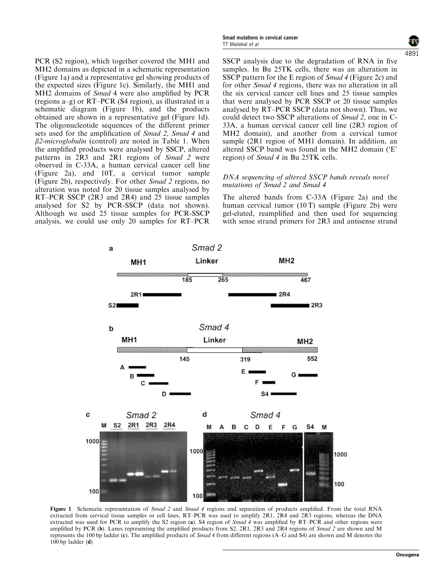PCR (S2 region), which together covered the MH1 and MH2 domains as depicted in a schematic representation (Figure 1a) and a representative gel showing products of the expected sizes (Figure 1c). Similarly, the MH1 and MH2 domains of Smad 4 were also amplified by PCR (regions a–g) or RT–PCR (S4 region), as illustrated in a schematic diagram (Figure 1b), and the products obtained are shown in a representative gel (Figure 1d). The oligonucleotide sequences of the different primer sets used for the amplification of Smad 2, Smad 4 and  $\beta$ 2-microglobulin (control) are noted in Table 1. When the amplified products were analysed by SSCP, altered patterns in 2R3 and 2R1 regions of Smad 2 were observed in C-33A, a human cervical cancer cell line (Figure 2a), and 10T, a cervical tumor sample (Figure 2b), respectively. For other Smad 2 regions, no alteration was noted for 20 tissue samples analysed by RT–PCR SSCP (2R3 and 2R4) and 25 tissue samples analysed for S2 by PCR-SSCP (data not shown). Although we used 25 tissue samples for PCR-SSCP analysis, we could use only 20 samples for RT–PCR



SSCP analysis due to the degradation of RNA in five samples. In Bu 25TK cells, there was an alteration in SSCP pattern for the E region of Smad 4 (Figure 2c) and for other Smad 4 regions, there was no alteration in all the six cervical cancer cell lines and 25 tissue samples that were analysed by PCR SSCP or 20 tissue samples analysed by RT–PCR SSCP (data not shown). Thus, we could detect two SSCP alterations of Smad 2, one in C-33A, a human cervical cancer cell line (2R3 region of MH2 domain), and another from a cervical tumor sample (2R1 region of MH1 domain). In addition, an altered SSCP band was found in the MH2 domain ('E' region) of *Smad 4* in Bu 25TK cells.

# DNA sequencing of altered SSCP bands reveals novel mutations of Smad 2 and Smad 4

The altered bands from C-33A (Figure 2a) and the human cervical tumor (10 T) sample (Figure 2b) were gel-eluted, reamplified and then used for sequencing with sense strand primers for 2R3 and antisense strand



Figure 1 Schematic representation of Smad 2 and Smad 4 regions and separation of products amplified. From the total RNA extracted from cervical tissue samples or cell lines, RT–PCR was used to amplify 2R1, 2R4 and 2R3 regions, whereas the DNA extracted was used for PCR to amplify the S2 region (a). S4 region of Smad 4 was amplified by  $RT-PCR$  and other regions were amplified by PCR (b). Lanes representing the amplified products from S2, 2R1, 2R3 and 2R4 regions of Smad 2 are shown and M represents the 100 bp ladder (c). The amplified products of Smad 4 from different regions (A–G and S4) are shown and M denotes the  $100$  bp ladder (d)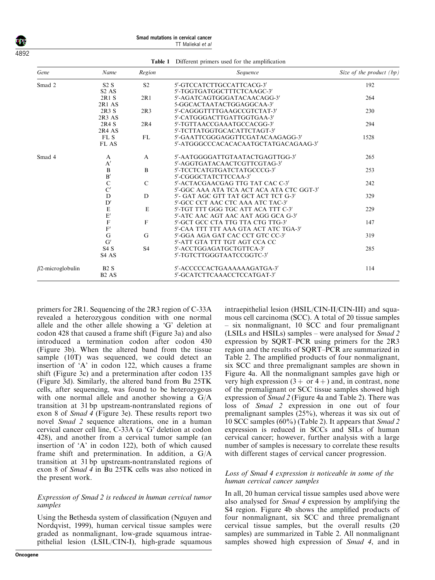4892

Smad mutations in cervical cancer TT Maliekal et al

| Gene                    | Name                          | Region         | Sequence                                  | Size of the product $(bp)$ |  |
|-------------------------|-------------------------------|----------------|-------------------------------------------|----------------------------|--|
| Smad 2                  | S2S                           | S <sub>2</sub> | 5'-GTCCATCTTGCCATTCACG-3'                 | 192                        |  |
|                         | S <sub>2</sub> A <sub>S</sub> |                | 5'-TGGTGATGGCTTTCTCAAGC-3'                |                            |  |
|                         | 2R1 S                         | 2R1            | 5'-AGATCAGTGGGATACAACAGG-3'               | 264                        |  |
|                         | 2R1 AS                        |                | 5-GGCACTAATACTGGAGGCAA-3'                 |                            |  |
|                         | 2R3S                          | 2R3            | 5'-CAGGGTTTTGAAGCCGTCTAT-3'               | 230                        |  |
|                         | 2R3AS                         |                | 5'-CATGGGACTTGATTGGTGAA-3'                |                            |  |
|                         | 2R4 S                         | 2R4            | 5'-TGTTAACCGAAATGCCACGG-3'                | 294                        |  |
|                         | 2R4 AS                        |                | 5'-TCTTATGGTGCACATTCTAGT-3'               |                            |  |
|                         | FL S                          | FL             | 5'-GAATTCGGGAGGTTCGATACAAGAGG-3'          | 1528                       |  |
|                         | FL AS                         |                | 5'-ATGGGCCCACACACAATGCTATGACAGAAG-3'      |                            |  |
| Smad 4                  | A                             | A              | 5'-AATGGGGATTGTAATACTGAGTTGG-3'           | 265                        |  |
|                         | A'                            |                | 5'-AGGTGATACAACTCGTTCGTAG-3'              |                            |  |
|                         | $\, {\bf B}$                  | B              | 5'-TCCTCATGTGATCTATGCCCG-3'               | 253                        |  |
|                         | $\mathbf{B}'$                 |                | 5'-CGGGCTATCTTCCAA-3'                     |                            |  |
|                         | $\mathbf C$                   | $\mathcal{C}$  | 5'-ACTACGAACGAG TTG TAT CAC C-3'          | 242                        |  |
|                         | C'                            |                | 5'-GGC AAA ATA TCA ACT ACA ATA CTC GGT-3' |                            |  |
|                         | D                             | D              | 5'- GAT AGC GTT TAT GCT ACT TCT G-3'      | 329                        |  |
|                         | D'                            |                | 5'-GCC CCT AAC CTC AAA ATC TAC-3'         |                            |  |
|                         | $\mathbf E$                   | E              | 5'-TGT TTT GGG TGC ATT ACA TTT C-3'       | 229                        |  |
|                         | $\mathbf{E}^{\prime}$         |                | 5'-ATC AAC AGT AAC AAT AGG GCA G-3'       |                            |  |
|                         | $\mathbf F$                   | $\mathbf F$    | 5'-GCT GCC CTA TTG TTA CTG TTG-3'         | 147                        |  |
|                         | $\mathbf{F}'$                 |                | 5'-CAA TTT TTT AAA GTA ACT ATC TGA-3'     |                            |  |
|                         | G                             | G              | 5'-GGA AGA GAT CAC CCT GTC CC-3'          | 319                        |  |
|                         | G'                            |                | 5'-ATT GTA TTT TGT AGT CCA CC             |                            |  |
|                         | S4S                           | S <sub>4</sub> | 5'-ACCTGGAGATGCTGTTCA-3'                  | 285                        |  |
|                         | S <sub>4</sub> A <sub>S</sub> |                | 5'-TGTCTTGGGTAATCCGGTC-3'                 |                            |  |
| $\beta$ 2-microglobulin | B2S                           |                | 5'-ACCCCCACTGAAAAAAGATGA-3'               | 114                        |  |
|                         | B <sub>2</sub> A <sub>S</sub> |                | 5'-GCATCTTCAAACCTCCATGAT-3'               |                            |  |

Table 1 Different primers used for the amplification

primers for 2R1. Sequencing of the 2R3 region of C-33A revealed a heterozygous condition with one normal allele and the other allele showing a 'G' deletion at codon 428 that caused a frame shift (Figure 3a) and also introduced a termination codon after codon 430 (Figure 3b). When the altered band from the tissue sample (10T) was sequenced, we could detect an insertion of 'A' in codon 122, which causes a frame shift (Figure 3c) and a pretermination after codon 135 (Figure 3d). Similarly, the altered band from Bu 25TK cells, after sequencing, was found to be heterozygous with one normal allele and another showing a G/A transition at 31 bp upstream-nontranslated regions of exon 8 of Smad 4 (Figure 3e). These results report two novel Smad 2 sequence alterations, one in a human cervical cancer cell line, C-33A (a 'G' deletion at codon 428), and another from a cervical tumor sample (an insertion of 'A' in codon 122), both of which caused frame shift and pretermination. In addition, a G/A transition at 31 bp upstream-nontranslated regions of exon 8 of Smad 4 in Bu 25TK cells was also noticed in the present work.

# Expression of Smad 2 is reduced in human cervical tumor samples

Using the Bethesda system of classification (Nguyen and Nordqvist, 1999), human cervical tissue samples were graded as nonmalignant, low-grade squamous intraepithelial lesion (LSIL/CIN-I), high-grade squamous intraepithelial lesion (HSIL/CIN-II/CIN-III) and squamous cell carcinoma (SCC). A total of 20 tissue samples – six nonmalignant, 10 SCC and four premalignant (LSILs and HSILs) samples – were analysed for Smad 2 expression by SQRT–PCR using primers for the 2R3 region and the results of SQRT–PCR are summarized in Table 2. The amplified products of four nonmalignant, six SCC and three premalignant samples are shown in Figure 4a. All the nonmalignant samples gave high or very high expression  $(3 + or 4 +)$  and, in contrast, none of the premalignant or SCC tissue samples showed high expression of Smad 2 (Figure 4a and Table 2). There was loss of Smad 2 expression in one out of four premalignant samples (25%), whereas it was six out of 10 SCC samples (60%) (Table 2). It appears that Smad 2 expression is reduced in SCCs and SILs of human cervical cancer; however, further analysis with a large number of samples is necessary to correlate these results with different stages of cervical cancer progression.

# Loss of Smad 4 expression is noticeable in some of the human cervical cancer samples

In all, 20 human cervical tissue samples used above were also analysed for Smad 4 expression by amplifying the S4 region. Figure 4b shows the amplified products of four nonmalignant, six SCC and three premalignant cervical tissue samples, but the overall results (20 samples) are summarized in Table 2. All nonmalignant samples showed high expression of Smad 4, and in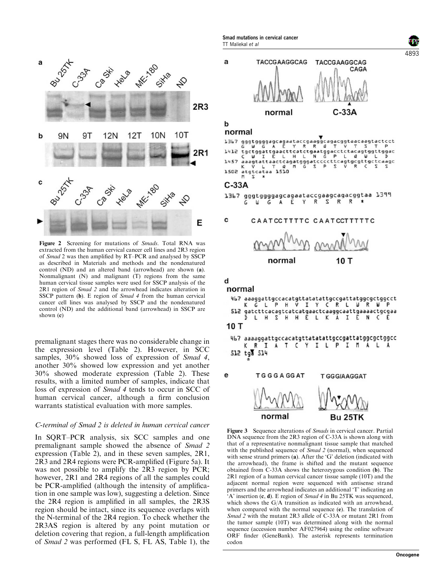

Figure 2 Screening for mutations of Smads. Total RNA was extracted from the human cervical cancer cell lines and 2R3 region of Smad 2 was then amplified by RT–PCR and analysed by SSCP as described in Materials and methods and the nondenatured control (ND) and an altered band (arrowhead) are shown (a). Nonmalignant (N) and malignant (T) regions from the same human cervical tissue samples were used for SSCP analysis of the 2R1 region of Smad 2 and the arrowhead indicates alteration in SSCP pattern (b). E region of *Smad 4* from the human cervical cancer cell lines was analysed by SSCP and the nondenatured control (ND) and the additional band (arrowhead) in SSCP are shown (c)

premalignant stages there was no considerable change in the expression level (Table 2). However, in SCC samples, 30% showed loss of expression of Smad 4, another 30% showed low expression and yet another 30% showed moderate expression (Table 2). These results, with a limited number of samples, indicate that loss of expression of Smad 4 tends to occur in SCC of human cervical cancer, although a firm conclusion warrants statistical evaluation with more samples.

# C-terminal of Smad 2 is deleted in human cervical cancer

In SQRT–PCR analysis, six SCC samples and one premalignant sample showed the absence of Smad 2 expression (Table 2), and in these seven samples, 2R1, 2R3 and 2R4 regions were PCR-amplified (Figure 5a). It was not possible to amplify the 2R3 region by PCR; however, 2R1 and 2R4 regions of all the samples could be PCR-amplified (although the intensity of amplification in one sample was low), suggesting a deletion. Since the 2R4 region is amplified in all samples, the 2R3S region should be intact, since its sequence overlaps with the N-terminal of the 2R4 region. To check whether the 2R3AS region is altered by any point mutation or deletion covering that region, a full-length amplification of Smad 2 was performed (FL S, FL AS, Table 1), the

Smad mutations in cervical cancer TT Maliekal et al



#### b normal

1367 gggtggggagcagaataccgaaggcagacggtaacaagtactcct 'a tgctggattgaacttcatctgaatggacctctacagtggttggac<br>C W I E L H L N G P L Q W L D  $1412$ aaagtattaactcagatgggatccccttcagtgcgttgctcaagc<br>K V L T Q M G S P S V R C S S  $1.457$ atgtcataa 1510 1502

# $C-33A$

1367 gggtggggagcagaataccgaagcagacggtaa 1399 G A E Y R S R R  $<sub>h</sub>$ </sub>

#### c CAATCCTTTTC CAATCCTTTTTC



# d

# normal 467 aaaggattgccacatgttatatattgccgattatggcgctggcct<br>K G L P H V I Y C R L W R W P 512 gatcttcacagtcatcatgaactcaaggcaattgaaaactgcgaa L H S H H E L K A I E N C D  $10T$ 467 aaaaqqattgccacatgttatatattgccgattatggcgctggcc K R I A T C Y I L P I M A L A 512 tg 514 e **TGGGAGGAT T GGGIAAGGAT**

Bu 25TK

normal

Figure 3 Sequence alterations of *Smads* in cervical cancer. Partial DNA sequence from the 2R3 region of C-33A is shown along with that of a representative nonmalignant tissue sample that matched with the published sequence of *Smad 2* (normal), when sequenced with sense strand primers (a). After the 'G' deletion (indicated with the arrowhead), the frame is shifted and the mutant sequence obtained from C-33A shows the heterozygous condition (b). The 2R1 region of a human cervical cancer tissue sample (10T) and the adjacent normal region were sequenced with antisense strand primers and the arrowhead indicates an additional 'T' indicating an  $A'$  insertion (c, d). E region of *Smad 4* in Bu 25TK was sequenced, which shows the G/A transition as indicated with an arrowhead, when compared with the normal sequence (e). The translation of Smad 2 with the mutant 2R3 allele of C-33A or mutant 2R1 from the tumor sample (10T) was determined along with the normal sequence (accession number AF027964) using the online software ORF finder (GeneBank). The asterisk represents termination codon

4893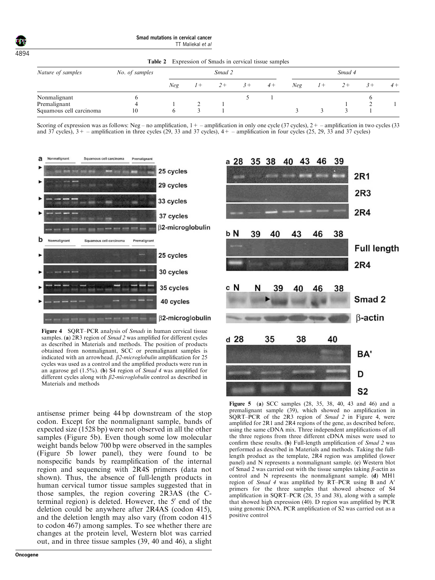Table 2 Expression of Smads in cervical tissue samples

| Nature of samples       | No. of samples | Smad 2 |       |      |      |      | Smad 4 |  |  |  |      |
|-------------------------|----------------|--------|-------|------|------|------|--------|--|--|--|------|
|                         |                | Neg    | $1 +$ | $2+$ | $3+$ | $4+$ | Neg    |  |  |  | $4+$ |
| Nonmalignant            |                |        |       |      |      |      |        |  |  |  |      |
| Premalignant            | 4              |        |       |      |      |      |        |  |  |  |      |
| Squamous cell carcinoma | 10             |        |       |      |      |      |        |  |  |  |      |

Scoring of expression was as follows: Neg – no amplification,  $1+$  – amplification in only one cycle (37 cycles),  $2+$  – amplification in two cycles (33 and  $37$  cycles),  $3+$  – amplification in three cycles (29, 33 and 37 cycles),  $4+$  – amplification in four cycles (25, 29, 33 and 37 cycles)



Figure 4 SQRT–PCR analysis of Smads in human cervical tissue samples. (a) 2R3 region of Smad 2 was amplified for different cycles as described in Materials and methods. The position of products obtained from nonmalignant, SCC or premalignant samples is indicated with an arrowhead.  $\beta$ 2-microglobulin amplification for 25 cycles was used as a control and the amplified products were run in an agarose gel  $(1.5\%)$ . (b) S4 region of *Smad 4* was amplified for different cycles along with *B2-microglobulin* control as described in Materials and methods

antisense primer being 44 bp downstream of the stop codon. Except for the nonmalignant sample, bands of expected size (1528 bp) were not observed in all the other samples (Figure 5b). Even though some low molecular weight bands below 700 bp were observed in the samples (Figure 5b lower panel), they were found to be nonspecific bands by reamplification of the internal region and sequencing with 2R4S primers (data not shown). Thus, the absence of full-length products in human cervical tumor tissue samples suggested that in those samples, the region covering 2R3AS (the Cterminal region) is deleted. However, the 5' end of the deletion could be anywhere after 2R4AS (codon 415), and the deletion length may also vary (from codon 415 to codon 467) among samples. To see whether there are changes at the protein level, Western blot was carried out, and in three tissue samples (39, 40 and 46), a slight



Figure 5 (a) SCC samples (28, 35, 38, 40, 43 and 46) and a premalignant sample (39), which showed no amplification in SQRT–PCR of the 2R3 region of Smad 2 in Figure 4, were amplified for 2R1 and 2R4 regions of the gene, as described before, using the same cDNA mix. Three independent amplifications of all the three regions from three different cDNA mixes were used to confirm these results. (b) Full-length amplification of Smad 2 was performed as described in Materials and methods. Taking the fulllength product as the template, 2R4 region was amplified (lower panel) and N represents a nonmalignant sample. (c) Western blot of Smad 2 was carried out with the tissue samples taking  $\beta$ -actin as control and N represents the nonmalignant sample. (d) MH1 region of *Smad 4* was amplified by  $\overline{RT}-\overline{PCR}$  using  $\overline{B}$  and  $\overline{A}$ ' primers for the three samples that showed absence of S4 amplification in SQRT–PCR  $(28, 35 \text{ and } 38)$ , along with a sample that showed high expression (40). D region was amplified by PCR using genomic DNA. PCR amplification of S2 was carried out as a positive control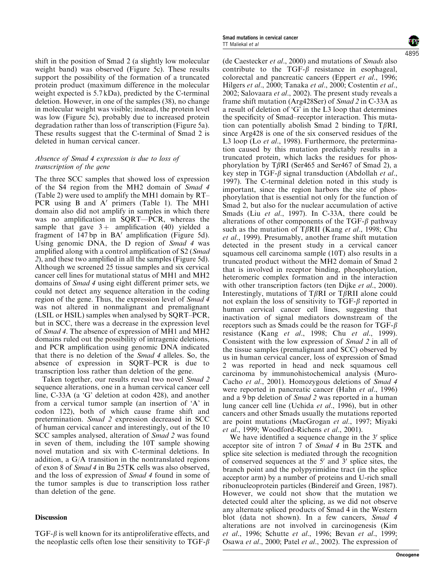shift in the position of Smad 2 (a slightly low molecular weight band) was observed (Figure 5c). These results support the possibility of the formation of a truncated protein product (maximum difference in the molecular weight expected is 5.7 kDa), predicted by the C-terminal deletion. However, in one of the samples (38), no change in molecular weight was visible; instead, the protein level was low (Figure 5c), probably due to increased protein degradation rather than loss of transcription (Figure 5a). These results suggest that the C-terminal of Smad 2 is deleted in human cervical cancer.

# Absence of Smad 4 expression is due to loss of transcription of the gene

The three SCC samples that showed loss of expression of the S4 region from the MH2 domain of Smad 4 (Table 2) were used to amplify the MH1 domain by RT– PCR using B and  $A'$  primers (Table 1). The MH1 domain also did not amplify in samples in which there was no amplification in SQRT—PCR, whereas the sample that gave  $3+$  amplification (40) yielded a fragment of  $147$  bp in  $BA'$  amplification (Figure 5d). Using genomic DNA, the D region of Smad 4 was amplified along with a control amplification of S2 (Smad 2), and these two amplified in all the samples (Figure 5d). Although we screened 25 tissue samples and six cervical cancer cell lines for mutational status of MH1 and MH2 domains of Smad 4 using eight different primer sets, we could not detect any sequence alteration in the coding region of the gene. Thus, the expression level of Smad 4 was not altered in nonmalignant and premalignant (LSIL or HSIL) samples when analysed by SQRT–PCR, but in SCC, there was a decrease in the expression level of Smad 4. The absence of expression of MH1 and MH2 domains ruled out the possibility of intragenic deletions, and PCR amplification using genomic DNA indicated that there is no deletion of the Smad 4 alleles. So, the absence of expression in SQRT–PCR is due to transcription loss rather than deletion of the gene.

Taken together, our results reveal two novel Smad 2 sequence alterations, one in a human cervical cancer cell line, C-33A (a 'G' deletion at codon 428), and another from a cervical tumor sample (an insertion of 'A' in codon 122), both of which cause frame shift and pretermination. Smad 2 expression decreased in SCC of human cervical cancer and interestingly, out of the 10 SCC samples analysed, alteration of Smad 2 was found in seven of them, including the 10T sample showing novel mutation and six with C-terminal deletions. In addition, a G/A transition in the nontranslated regions of exon 8 of Smad 4 in Bu 25TK cells was also observed, and the loss of expression of Smad 4 found in some of the tumor samples is due to transcription loss rather than deletion of the gene.

# Discussion

 $TGF-\beta$  is well known for its antiproliferative effects, and the neoplastic cells often lose their sensitivity to TGF- $\beta$ 

(de Caestecker et al., 2000) and mutations of Smads also contribute to the TGF- $\beta$  resistance in esophageal, colorectal and pancreatic cancers (Eppert et al., 1996; Hilgers et al., 2000; Tanaka et al., 2000; Costentin et al., 2002; Salovaara et al., 2002). The present study reveals a frame shift mutation (Arg428Ser) of Smad 2 in C-33A as a result of deletion of 'G' in the L3 loop that determines the specificity of Smad–receptor interaction. This mutation can potentially abolish Smad 2 binding to T $\beta$ RI, since Arg428 is one of the six conserved residues of the L3 loop (Lo et al., 1998). Furthermore, the pretermination caused by this mutation predictably results in a truncated protein, which lacks the residues for phosphorylation by T $\beta$ RI (Ser465 and Ser467 of Smad 2), a key step in TGF- $\beta$  signal transduction (Abdollah *et al.*, 1997). The C-terminal deletion noted in this study is important, since the region harbors the site of phosphorylation that is essential not only for the function of Smad 2, but also for the nuclear accumulation of active Smads (Liu et al., 1997). In C-33A, there could be alterations of other components of the TGF- $\beta$  pathway such as the mutation of T $\beta$ RII (Kang *et al.*, 1998; Chu et al., 1999). Presumably, another frame shift mutation detected in the present study in a cervical cancer squamous cell carcinoma sample (10T) also results in a truncated product without the MH2 domain of Smad 2 that is involved in receptor binding, phosphorylation, heteromeric complex formation and in the interaction with other transcription factors (ten Dijke *et al.*, 2000). Interestingly, mutations of T $\beta$ RI or T $\beta$ RII alone could not explain the loss of sensitivity to  $TGF-\beta$  reported in human cervical cancer cell lines, suggesting that inactivation of signal mediators downstream of the receptors such as Smads could be the reason for TGF- $\beta$ resistance (Kang et al., 1998; Chu et al., 1999). Consistent with the low expression of Smad 2 in all of the tissue samples (premalignant and SCC) observed by us in human cervical cancer, loss of expression of Smad 2 was reported in head and neck squamous cell carcinoma by immunohistochemical analysis (Muro-Cacho et al., 2001). Homozygous deletions of Smad 4 were reported in pancreatic cancer (Hahn *et al.*, 1996) and a 9 bp deletion of Smad 2 was reported in a human lung cancer cell line (Uchida et al., 1996), but in other cancers and other Smads usually the mutations reported are point mutations (MacGrogan et al., 1997; Miyaki et al., 1999; Woodford-Richens et al., 2001).

We have identified a sequence change in the  $3'$  splice acceptor site of intron 7 of Smad 4 in Bu 25TK and splice site selection is mediated through the recognition of conserved sequences at the  $5'$  and  $3'$  splice sites, the branch point and the polypyrimidine tract (in the splice acceptor arm) by a number of proteins and U-rich small ribonucleoprotein particles (Bindereif and Green, 1987). However, we could not show that the mutation we detected could alter the splicing, as we did not observe any alternate spliced products of Smad 4 in the Western blot (data not shown). In a few cancers, Smad 4 alterations are not involved in carcinogenesis (Kim et al., 1996; Schutte et al., 1996; Bevan et al., 1999; Osawa et al., 2000; Patel et al., 2002). The expression of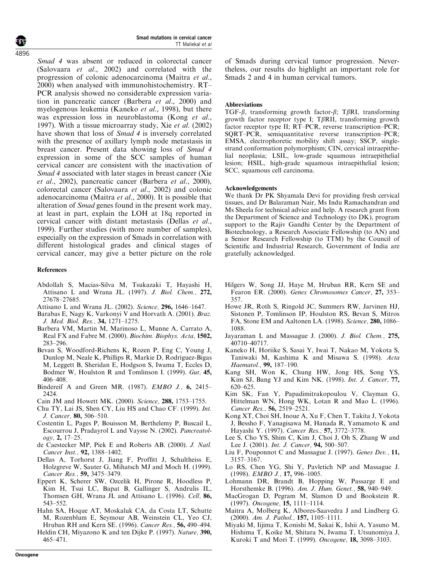Smad 4 was absent or reduced in colorectal cancer (Salovaara et al., 2002) and correlated with the progression of colonic adenocarcinoma (Maitra et al., 2000) when analysed with immunohistochemistry. RT– PCR analysis showed no considerable expression variation in pancreatic cancer (Barbera et al., 2000) and myelogenous leukemia (Kaneko et al., 1998), but there was expression loss in neuroblastoma (Kong *et al.*, 1997). With a tissue microarray study, Xie et al. (2002) have shown that loss of *Smad 4* is inversely correlated with the presence of axillary lymph node metastasis in breast cancer. Present data showing loss of Smad 4 expression in some of the SCC samples of human cervical cancer are consistent with the inactivation of Smad 4 associated with later stages in breast cancer (Xie et al., 2002), pancreatic cancer (Barbera et al., 2000), colorectal cancer (Salovaara et al., 2002) and colonic adenocarcinoma (Maitra et al., 2000). It is possible that alteration of Smad genes found in the present work may, at least in part, explain the LOH at 18q reported in cervical cancer with distant metastasis (Dellas et al., 1999). Further studies (with more number of samples), especially on the expression of Smads in correlation with different histological grades and clinical stages of cervical cancer, may give a better picture on the role

# References

- Abdollah S, Macias-Silva M, Tsukazaki T, Hayashi H, Attisano L and Wrana JL. (1997). J. Biol. Chem., 272, 27678–27685.
- Attisano L and Wrana JL. (2002). Science, 296, 1646-1647.
- Barabas E, Nagy K, Varkonyi V and Horvath A. (2001). Braz. J. Med. Biol. Res., 34, 1271–1275.
- Barbera VM, Martin M, Marinoso L, Munne A, Carrato A, Real FX and Fabre M. (2000). Biochim. Biophys. Acta, 1502, 283–296.
- Bevan S, Woodford-Richens K, Rozen P, Eng C, Young J, Dunlop M, Neale K, Phillips R, Markie D, Rodriguez-Bigas M, Leggett B, Sheridan E, Hodgson S, Iwama T, Eccles D, Bodmer W, Houlston R and Tomlinson I. (1999). Gut, 45, 406–408.
- Bindereif A and Green MR. (1987). *EMBO J.*, 6, 2415– 2424.
- Cain JM and Howett MK. (2000). Science, 288, 1753–1755.
- Chu TY, Lai JS, Shen CY, Liu HS and Chao CF. (1999). Int. J. Cancer, 80, 506–510.
- Costentin L, Pages P, Bouisson M, Berthelemy P, Buscail L, Escourrou J, Pradayrol L and Vaysse N. (2002). Pancreatology, 2, 17–25.
- de Caestecker MP, Piek E and Roberts AB. (2000). J. Natl. Cancer Inst., 92, 1388–1402.
- Dellas A, Torhorst J, Jiang F, Proffitt J, Schultheiss E, Holzgreve W, Sauter G, Mihatsch MJ and Moch H. (1999). Cancer Res., 59, 3475–3479.
- Eppert K, Scherer SW, Ozcelik H, Pirone R, Hoodless P, Kim H, Tsui LC, Bapat B, Gallinger S, Andrulis IL, Thomsen GH, Wrana JL and Attisano L. (1996). Cell, 86, 543–552.
- Hahn SA, Hoque AT, Moskaluk CA, da Costa LT, Schutte M, Rozenblum E, Seymour AB, Weinstein CL, Yeo CJ, Hruban RH and Kern SE. (1996). Cancer Res., 56, 490–494. Heldin CH, Miyazono K and ten Dijke P. (1997). Nature, 390, 465–471.

of Smads during cervical tumor progression. Nevertheless, our results do highlight an important role for Smads 2 and 4 in human cervical tumors.

# Abbreviations

TGF- $\beta$ , transforming growth factor- $\beta$ ; T $\beta$ RI, transforming growth factor receptor type I;  $T\beta RII$ , transforming growth factor receptor type II; RT–PCR, reverse transcription–PCR; SQRT–PCR, semiquantitative reverse transcription–PCR; EMSA, electrophoretic mobility shift assay; SSCP, singlestrand conformation polymorphism; CIN, cervical intraepithelial neoplasia; LSIL, low-grade squamous intraepithelial lesion; HSIL, high-grade squamous intraepithelial lesion; SCC, squamous cell carcinoma.

# Acknowledgements

We thank Dr PK Shyamala Devi for providing fresh cervical tissues, and Dr Balaraman Nair, Ms Indu Ramachandran and Ms Sheela for technical advice and help. A research grant from the Department of Science and Technology (to DK), program support to the Rajiv Gandhi Center by the Department of Biotechnology, a Research Associate Fellowship (to AN) and a Senior Research Fellowship (to TTM) by the Council of Scientific and Industrial Research, Government of India are gratefully acknowledged.

- Hilgers W, Song JJ, Haye M, Hruban RR, Kern SE and Fearon ER. (2000). Genes Chromosomes Cancer, 27, 353– 357.
- Howe JR, Roth S, Ringold JC, Summers RW, Jarvinen HJ, Sistonen P, Tomlinson IP, Houlston RS, Bevan S, Mitros FA, Stone EM and Aaltonen LA. (1998). Science, 280, 1086– 1088.
- Jayaraman L and Massague J. (2000). J. Biol. Chem., 275, 40710–40717.
- Kaneko H, Horiike S, Sasai Y, Iwai T, Nakao M, Yokota S, Taniwaki M, Kashima K and Misawa S. (1998). Acta Haematol., 99, 187–190.
- Kang SH, Won K, Chung HW, Jong HS, Song YS, Kim SJ, Bang YJ and Kim NK. (1998). Int. J. Cancer, 77, 620–625.
- Kim SK, Fan Y, Papadimitrakopoulou V, Clayman G, Hittelman WN, Hong WK, Lotan R and Mao L. (1996). Cancer Res., 56, 2519–2521.
- Kong XT, Choi SH, Inoue A, Xu F, Chen T, Takita J, Yokota J, Bessho F, Yanagisawa M, Hanada R, Yamamoto K and Hayashi Y. (1997). Cancer Res., 57, 3772–3778.
- Lee S, Cho YS, Shim C, Kim J, Choi J, Oh S, Zhang W and Lee J. (2001). Int. J. Cancer, 94, 500-507.
- Liu F, Pouponnot C and Massague J. (1997). Genes Dev., 11, 3157–3167.
- Lo RS, Chen YG, Shi Y, Pavletich NP and Massague J. (1998). EMBO J., 17, 996–1005.
- Lohmann DR, Brandt B, Hopping W, Passarge E and Horsthemke B. (1996). Am. J. Hum. Genet., 58, 940–949.
- MacGrogan D, Pegram M, Slamon D and Bookstein R. (1997). Oncogene, 15, 1111–1114.
- Maitra A, Molberg K, Albores-Saavedra J and Lindberg G. (2000). Am. J. Pathol., 157, 1105–1111.
- Miyaki M, Iijima T, Konishi M, Sakai K, Ishii A, Yasuno M, Hishima T, Koike M, Shitara N, Iwama T, Utsunomiya J, Kuroki T and Mori T. (1999). Oncogene, 18, 3098–3103.